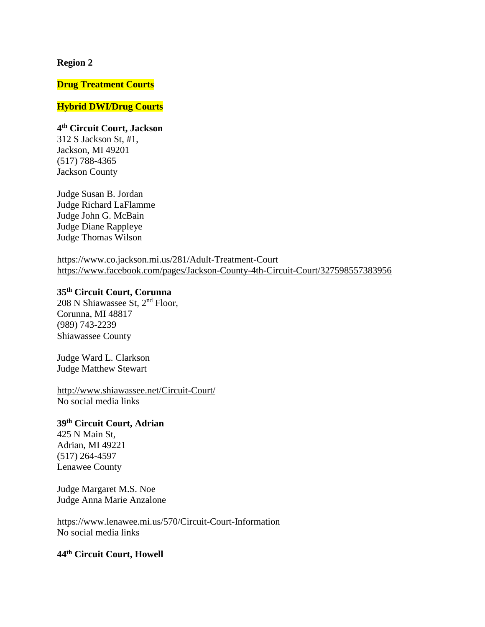#### **Region 2**

#### **Drug Treatment Courts**

## **Hybrid DWI/Drug Courts**

**4 th Circuit Court, Jackson** 312 S Jackson St, #1, Jackson, MI 49201 (517) 788-4365 Jackson County

Judge Susan B. Jordan Judge Richard LaFlamme Judge John G. McBain Judge Diane Rappleye Judge Thomas Wilson

<https://www.co.jackson.mi.us/281/Adult-Treatment-Court> <https://www.facebook.com/pages/Jackson-County-4th-Circuit-Court/327598557383956>

# **35th Circuit Court, Corunna**

208 N Shiawassee St, 2nd Floor, Corunna, MI 48817 (989) 743-2239 Shiawassee County

Judge Ward L. Clarkson Judge Matthew Stewart

<http://www.shiawassee.net/Circuit-Court/> No social media links

# **39th Circuit Court, Adrian**

425 N Main St, Adrian, MI 49221 (517) 264-4597 Lenawee County

Judge Margaret M.S. Noe Judge Anna Marie Anzalone

<https://www.lenawee.mi.us/570/Circuit-Court-Information> No social media links

**44th Circuit Court, Howell**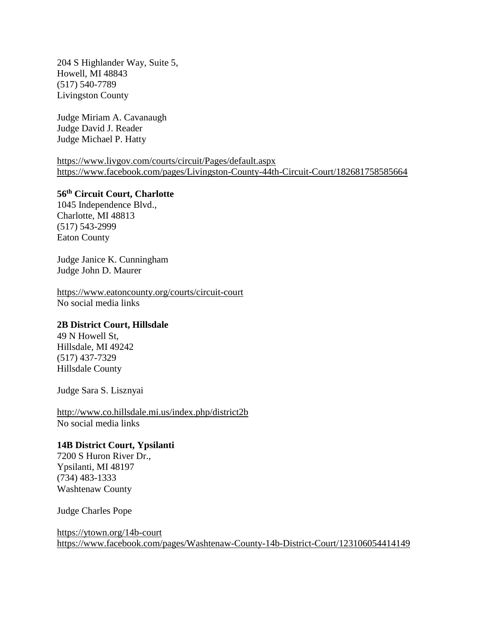204 S Highlander Way, Suite 5, Howell, MI 48843 (517) 540-7789 Livingston County

Judge Miriam A. Cavanaugh Judge David J. Reader Judge Michael P. Hatty

<https://www.livgov.com/courts/circuit/Pages/default.aspx> <https://www.facebook.com/pages/Livingston-County-44th-Circuit-Court/182681758585664>

**56th Circuit Court, Charlotte**

1045 Independence Blvd., Charlotte, MI 48813 (517) 543-2999 Eaton County

Judge Janice K. Cunningham Judge John D. Maurer

<https://www.eatoncounty.org/courts/circuit-court> No social media links

#### **2B District Court, Hillsdale**

49 N Howell St, Hillsdale, MI 49242 (517) 437-7329 Hillsdale County

Judge Sara S. Lisznyai

<http://www.co.hillsdale.mi.us/index.php/district2b> No social media links

#### **14B District Court, Ypsilanti**

7200 S Huron River Dr., Ypsilanti, MI 48197 (734) 483-1333 Washtenaw County

Judge Charles Pope

<https://ytown.org/14b-court> <https://www.facebook.com/pages/Washtenaw-County-14b-District-Court/123106054414149>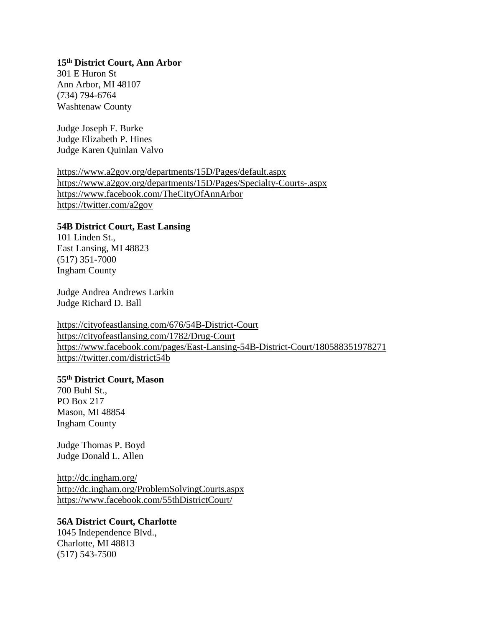#### **15th District Court, Ann Arbor**

301 E Huron St Ann Arbor, MI 48107 (734) 794-6764 Washtenaw County

Judge Joseph F. Burke Judge Elizabeth P. Hines Judge Karen Quinlan Valvo

<https://www.a2gov.org/departments/15D/Pages/default.aspx> <https://www.a2gov.org/departments/15D/Pages/Specialty-Courts-.aspx> <https://www.facebook.com/TheCityOfAnnArbor> <https://twitter.com/a2gov>

## **54B District Court, East Lansing**

101 Linden St., East Lansing, MI 48823 (517) 351-7000 Ingham County

Judge Andrea Andrews Larkin Judge Richard D. Ball

<https://cityofeastlansing.com/676/54B-District-Court> <https://cityofeastlansing.com/1782/Drug-Court> <https://www.facebook.com/pages/East-Lansing-54B-District-Court/180588351978271> <https://twitter.com/district54b>

# **55th District Court, Mason**

700 Buhl St., PO Box 217 Mason, MI 48854 Ingham County

Judge Thomas P. Boyd Judge Donald L. Allen

<http://dc.ingham.org/> <http://dc.ingham.org/ProblemSolvingCourts.aspx> <https://www.facebook.com/55thDistrictCourt/>

#### **56A District Court, Charlotte**

1045 Independence Blvd., Charlotte, MI 48813 (517) 543-7500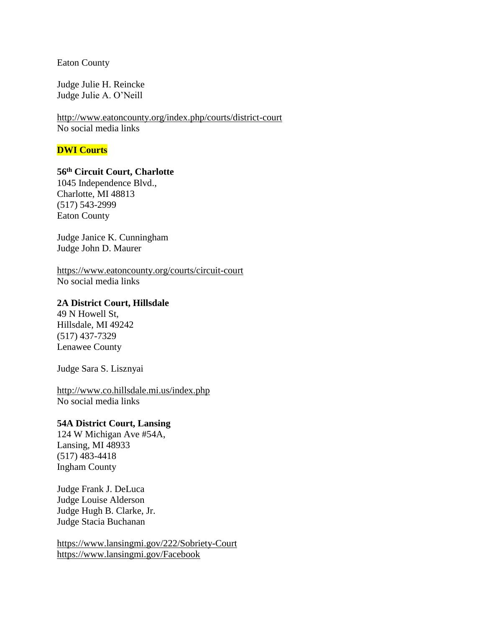Eaton County

Judge Julie H. Reincke Judge Julie A. O'Neill

<http://www.eatoncounty.org/index.php/courts/district-court> No social media links

# **DWI Courts**

# **56th Circuit Court, Charlotte**

1045 Independence Blvd., Charlotte, MI 48813 (517) 543-2999 Eaton County

Judge Janice K. Cunningham Judge John D. Maurer

<https://www.eatoncounty.org/courts/circuit-court> No social media links

#### **2A District Court, Hillsdale**

49 N Howell St, Hillsdale, MI 49242 (517) 437-7329 Lenawee County

Judge Sara S. Lisznyai

<http://www.co.hillsdale.mi.us/index.php> No social media links

# **54A District Court, Lansing**

124 W Michigan Ave #54A, Lansing, MI 48933 (517) 483-4418 Ingham County

Judge Frank J. DeLuca Judge Louise Alderson Judge Hugh B. Clarke, Jr. Judge Stacia Buchanan

<https://www.lansingmi.gov/222/Sobriety-Court> <https://www.lansingmi.gov/Facebook>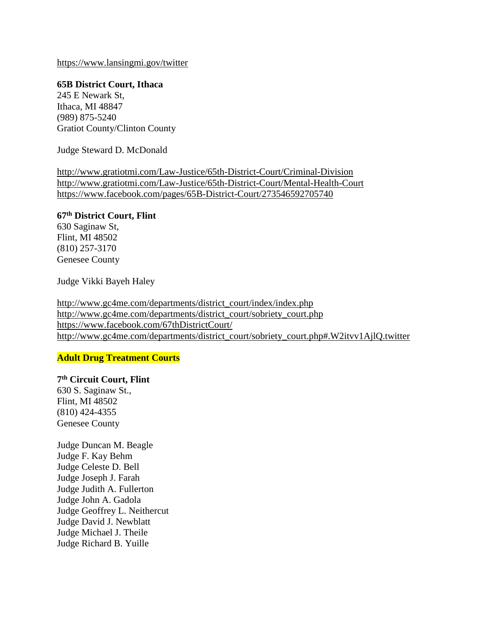<https://www.lansingmi.gov/twitter>

**65B District Court, Ithaca** 245 E Newark St, Ithaca, MI 48847 (989) 875-5240 Gratiot County/Clinton County

Judge Steward D. McDonald

<http://www.gratiotmi.com/Law-Justice/65th-District-Court/Criminal-Division> <http://www.gratiotmi.com/Law-Justice/65th-District-Court/Mental-Health-Court> <https://www.facebook.com/pages/65B-District-Court/273546592705740>

# **67th District Court, Flint**

630 Saginaw St, Flint, MI 48502 (810) 257-3170 Genesee County

Judge Vikki Bayeh Haley

[http://www.gc4me.com/departments/district\\_court/index/index.php](http://www.gc4me.com/departments/district_court/index/index.php) [http://www.gc4me.com/departments/district\\_court/sobriety\\_court.php](http://www.gc4me.com/departments/district_court/sobriety_court.php) <https://www.facebook.com/67thDistrictCourt/> [http://www.gc4me.com/departments/district\\_court/sobriety\\_court.php#.W2itvv1AjlQ.twitter](http://www.gc4me.com/departments/district_court/sobriety_court.php#.W2itvv1AjlQ.twitter)

## **Adult Drug Treatment Courts**

**7 th Circuit Court, Flint**

630 S. Saginaw St., Flint, MI 48502 (810) 424-4355 Genesee County

Judge Duncan M. Beagle Judge F. Kay Behm Judge Celeste D. Bell Judge Joseph J. Farah Judge Judith A. Fullerton Judge John A. Gadola Judge Geoffrey L. Neithercut Judge David J. Newblatt Judge Michael J. Theile Judge Richard B. Yuille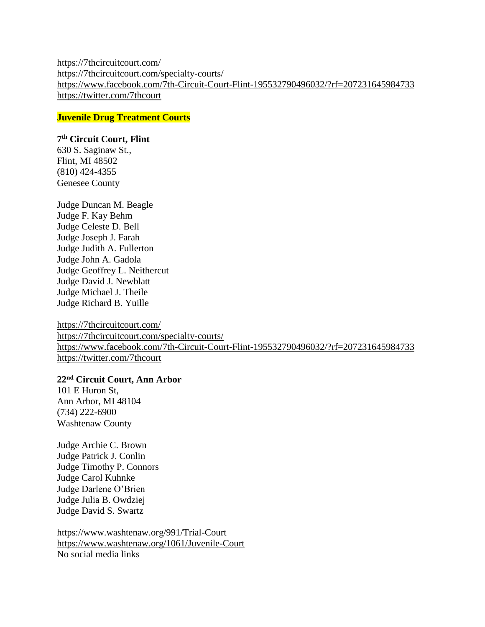<https://7thcircuitcourt.com/> <https://7thcircuitcourt.com/specialty-courts/> <https://www.facebook.com/7th-Circuit-Court-Flint-195532790496032/?rf=207231645984733> <https://twitter.com/7thcourt>

**Juvenile Drug Treatment Courts**

#### **7 th Circuit Court, Flint**

630 S. Saginaw St., Flint, MI 48502 (810) 424-4355 Genesee County

Judge Duncan M. Beagle Judge F. Kay Behm Judge Celeste D. Bell Judge Joseph J. Farah Judge Judith A. Fullerton Judge John A. Gadola Judge Geoffrey L. Neithercut Judge David J. Newblatt Judge Michael J. Theile Judge Richard B. Yuille

<https://7thcircuitcourt.com/> <https://7thcircuitcourt.com/specialty-courts/> <https://www.facebook.com/7th-Circuit-Court-Flint-195532790496032/?rf=207231645984733> <https://twitter.com/7thcourt>

# **22nd Circuit Court, Ann Arbor**

101 E Huron St, Ann Arbor, MI 48104 (734) 222-6900 Washtenaw County

Judge Archie C. Brown Judge Patrick J. Conlin Judge Timothy P. Connors Judge Carol Kuhnke Judge Darlene O'Brien Judge Julia B. Owdziej Judge David S. Swartz

<https://www.washtenaw.org/991/Trial-Court> <https://www.washtenaw.org/1061/Juvenile-Court> No social media links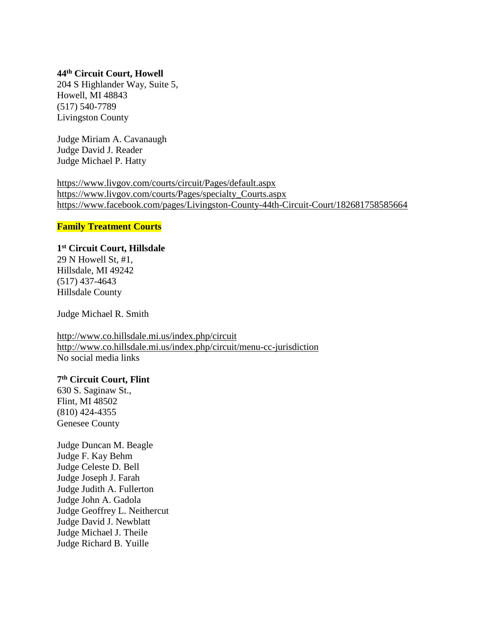## **44th Circuit Court, Howell**

204 S Highlander Way, Suite 5, Howell, MI 48843 (517) 540-7789 Livingston County

Judge Miriam A. Cavanaugh Judge David J. Reader Judge Michael P. Hatty

<https://www.livgov.com/courts/circuit/Pages/default.aspx> [https://www.livgov.com/courts/Pages/specialty\\_Courts.aspx](https://www.livgov.com/courts/Pages/specialty_Courts.aspx) <https://www.facebook.com/pages/Livingston-County-44th-Circuit-Court/182681758585664>

#### **Family Treatment Courts**

#### **1 st Circuit Court, Hillsdale**

29 N Howell St, #1, Hillsdale, MI 49242 (517) 437-4643 Hillsdale County

Judge Michael R. Smith

<http://www.co.hillsdale.mi.us/index.php/circuit> <http://www.co.hillsdale.mi.us/index.php/circuit/menu-cc-jurisdiction> No social media links

## **7 th Circuit Court, Flint**

630 S. Saginaw St., Flint, MI 48502 (810) 424-4355 Genesee County

Judge Duncan M. Beagle Judge F. Kay Behm Judge Celeste D. Bell Judge Joseph J. Farah Judge Judith A. Fullerton Judge John A. Gadola Judge Geoffrey L. Neithercut Judge David J. Newblatt Judge Michael J. Theile Judge Richard B. Yuille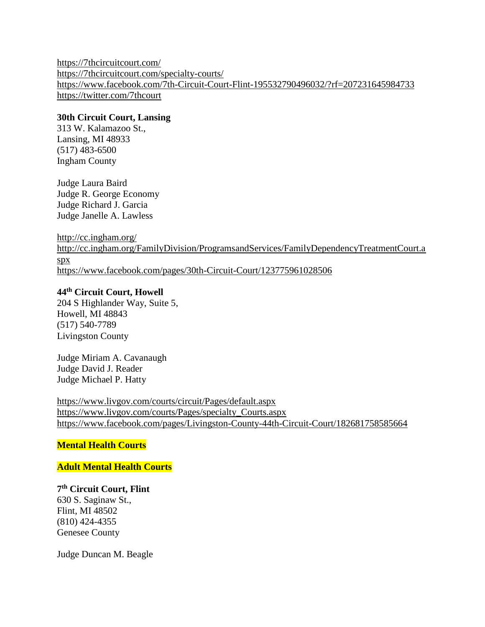<https://7thcircuitcourt.com/> <https://7thcircuitcourt.com/specialty-courts/> <https://www.facebook.com/7th-Circuit-Court-Flint-195532790496032/?rf=207231645984733> <https://twitter.com/7thcourt>

## **30th Circuit Court, Lansing**

313 W. Kalamazoo St., Lansing, MI 48933 (517) 483-6500 Ingham County

Judge Laura Baird Judge R. George Economy Judge Richard J. Garcia Judge Janelle A. Lawless

<http://cc.ingham.org/> [http://cc.ingham.org/FamilyDivision/ProgramsandServices/FamilyDependencyTreatmentCourt.a](http://cc.ingham.org/FamilyDivision/ProgramsandServices/FamilyDependencyTreatmentCourt.aspx) [spx](http://cc.ingham.org/FamilyDivision/ProgramsandServices/FamilyDependencyTreatmentCourt.aspx) <https://www.facebook.com/pages/30th-Circuit-Court/123775961028506>

# **44th Circuit Court, Howell**

204 S Highlander Way, Suite 5, Howell, MI 48843 (517) 540-7789 Livingston County

Judge Miriam A. Cavanaugh Judge David J. Reader Judge Michael P. Hatty

<https://www.livgov.com/courts/circuit/Pages/default.aspx> [https://www.livgov.com/courts/Pages/specialty\\_Courts.aspx](https://www.livgov.com/courts/Pages/specialty_Courts.aspx) <https://www.facebook.com/pages/Livingston-County-44th-Circuit-Court/182681758585664>

## **Mental Health Courts**

## **Adult Mental Health Courts**

# **7 th Circuit Court, Flint**

630 S. Saginaw St., Flint, MI 48502 (810) 424-4355 Genesee County

Judge Duncan M. Beagle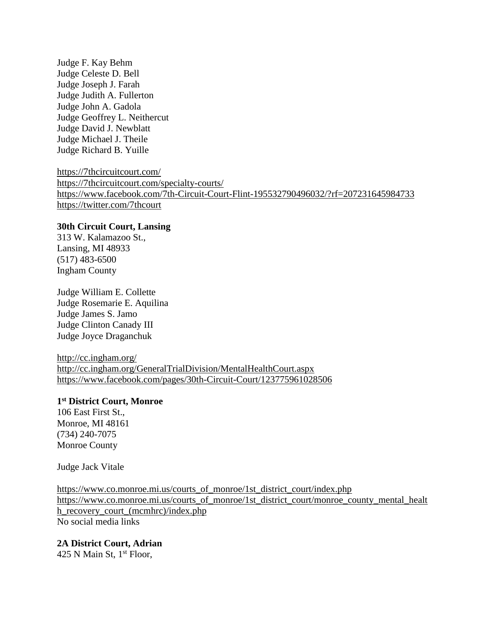Judge F. Kay Behm Judge Celeste D. Bell Judge Joseph J. Farah Judge Judith A. Fullerton Judge John A. Gadola Judge Geoffrey L. Neithercut Judge David J. Newblatt Judge Michael J. Theile Judge Richard B. Yuille

<https://7thcircuitcourt.com/> <https://7thcircuitcourt.com/specialty-courts/> <https://www.facebook.com/7th-Circuit-Court-Flint-195532790496032/?rf=207231645984733> <https://twitter.com/7thcourt>

#### **30th Circuit Court, Lansing**

313 W. Kalamazoo St., Lansing, MI 48933 (517) 483-6500 Ingham County

Judge William E. Collette Judge Rosemarie E. Aquilina Judge James S. Jamo Judge Clinton Canady III Judge Joyce Draganchuk

<http://cc.ingham.org/> <http://cc.ingham.org/GeneralTrialDivision/MentalHealthCourt.aspx> <https://www.facebook.com/pages/30th-Circuit-Court/123775961028506>

#### **1 st District Court, Monroe**

106 East First St., Monroe, MI 48161 (734) 240-7075 Monroe County

Judge Jack Vitale

[https://www.co.monroe.mi.us/courts\\_of\\_monroe/1st\\_district\\_court/index.php](https://www.co.monroe.mi.us/courts_of_monroe/1st_district_court/index.php) [https://www.co.monroe.mi.us/courts\\_of\\_monroe/1st\\_district\\_court/monroe\\_county\\_mental\\_healt](https://www.co.monroe.mi.us/courts_of_monroe/1st_district_court/monroe_county_mental_health_recovery_court_(mcmhrc)/index.php) [h\\_recovery\\_court\\_\(mcmhrc\)/index.php](https://www.co.monroe.mi.us/courts_of_monroe/1st_district_court/monroe_county_mental_health_recovery_court_(mcmhrc)/index.php) No social media links

#### **2A District Court, Adrian**

425 N Main St,  $1<sup>st</sup>$  Floor,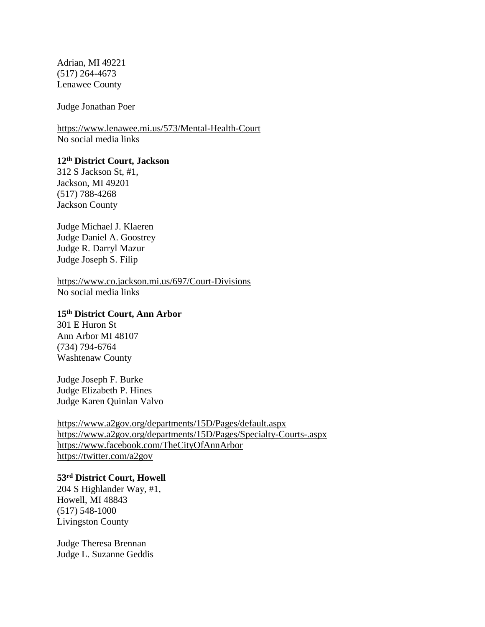Adrian, MI 49221 (517) 264-4673 Lenawee County

Judge Jonathan Poer

<https://www.lenawee.mi.us/573/Mental-Health-Court> No social media links

# **12th District Court, Jackson**

312 S Jackson St, #1, Jackson, MI 49201 (517) 788-4268 Jackson County

Judge Michael J. Klaeren Judge Daniel A. Goostrey Judge R. Darryl Mazur Judge Joseph S. Filip

<https://www.co.jackson.mi.us/697/Court-Divisions> No social media links

# **15th District Court, Ann Arbor**

301 E Huron St Ann Arbor MI 48107 (734) 794-6764 Washtenaw County

Judge Joseph F. Burke Judge Elizabeth P. Hines Judge Karen Quinlan Valvo

<https://www.a2gov.org/departments/15D/Pages/default.aspx> <https://www.a2gov.org/departments/15D/Pages/Specialty-Courts-.aspx> <https://www.facebook.com/TheCityOfAnnArbor> <https://twitter.com/a2gov>

#### **53rd District Court, Howell**

204 S Highlander Way, #1, Howell, MI 48843 (517) 548-1000 Livingston County

Judge Theresa Brennan Judge L. Suzanne Geddis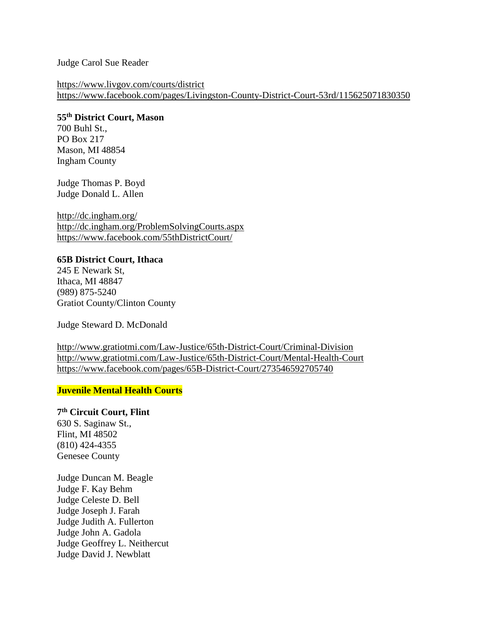#### Judge Carol Sue Reader

<https://www.livgov.com/courts/district> <https://www.facebook.com/pages/Livingston-County-District-Court-53rd/115625071830350>

# **55th District Court, Mason**

700 Buhl St., PO Box 217 Mason, MI 48854 Ingham County

Judge Thomas P. Boyd Judge Donald L. Allen

<http://dc.ingham.org/> <http://dc.ingham.org/ProblemSolvingCourts.aspx> <https://www.facebook.com/55thDistrictCourt/>

# **65B District Court, Ithaca**

245 E Newark St, Ithaca, MI 48847 (989) 875-5240 Gratiot County/Clinton County

Judge Steward D. McDonald

<http://www.gratiotmi.com/Law-Justice/65th-District-Court/Criminal-Division> <http://www.gratiotmi.com/Law-Justice/65th-District-Court/Mental-Health-Court> <https://www.facebook.com/pages/65B-District-Court/273546592705740>

## **Juvenile Mental Health Courts**

# **7 th Circuit Court, Flint**

630 S. Saginaw St., Flint, MI 48502 (810) 424-4355 Genesee County

Judge Duncan M. Beagle Judge F. Kay Behm Judge Celeste D. Bell Judge Joseph J. Farah Judge Judith A. Fullerton Judge John A. Gadola Judge Geoffrey L. Neithercut Judge David J. Newblatt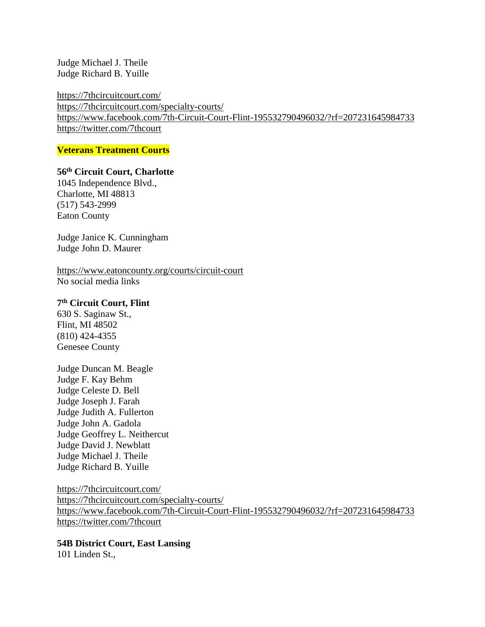Judge Michael J. Theile Judge Richard B. Yuille

<https://7thcircuitcourt.com/> <https://7thcircuitcourt.com/specialty-courts/> <https://www.facebook.com/7th-Circuit-Court-Flint-195532790496032/?rf=207231645984733> <https://twitter.com/7thcourt>

**Veterans Treatment Courts**

# **56th Circuit Court, Charlotte**

1045 Independence Blvd., Charlotte, MI 48813 (517) 543-2999 Eaton County

Judge Janice K. Cunningham Judge John D. Maurer

<https://www.eatoncounty.org/courts/circuit-court> No social media links

## **7 th Circuit Court, Flint**

630 S. Saginaw St., Flint, MI 48502 (810) 424-4355 Genesee County

Judge Duncan M. Beagle Judge F. Kay Behm Judge Celeste D. Bell Judge Joseph J. Farah Judge Judith A. Fullerton Judge John A. Gadola Judge Geoffrey L. Neithercut Judge David J. Newblatt Judge Michael J. Theile Judge Richard B. Yuille

<https://7thcircuitcourt.com/> <https://7thcircuitcourt.com/specialty-courts/> <https://www.facebook.com/7th-Circuit-Court-Flint-195532790496032/?rf=207231645984733> <https://twitter.com/7thcourt>

**54B District Court, East Lansing** 101 Linden St.,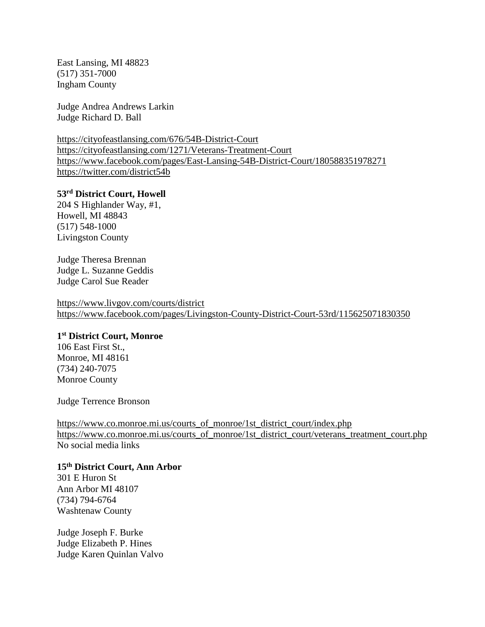East Lansing, MI 48823 (517) 351-7000 Ingham County

Judge Andrea Andrews Larkin Judge Richard D. Ball

<https://cityofeastlansing.com/676/54B-District-Court> <https://cityofeastlansing.com/1271/Veterans-Treatment-Court> <https://www.facebook.com/pages/East-Lansing-54B-District-Court/180588351978271> <https://twitter.com/district54b>

# **53rd District Court, Howell**

204 S Highlander Way, #1, Howell, MI 48843 (517) 548-1000 Livingston County

Judge Theresa Brennan Judge L. Suzanne Geddis Judge Carol Sue Reader

<https://www.livgov.com/courts/district> <https://www.facebook.com/pages/Livingston-County-District-Court-53rd/115625071830350>

#### **1 st District Court, Monroe**

106 East First St., Monroe, MI 48161 (734) 240-7075 Monroe County

Judge Terrence Bronson

[https://www.co.monroe.mi.us/courts\\_of\\_monroe/1st\\_district\\_court/index.php](https://www.co.monroe.mi.us/courts_of_monroe/1st_district_court/index.php) [https://www.co.monroe.mi.us/courts\\_of\\_monroe/1st\\_district\\_court/veterans\\_treatment\\_court.php](https://www.co.monroe.mi.us/courts_of_monroe/1st_district_court/veterans_treatment_court.php) No social media links

**15th District Court, Ann Arbor** 301 E Huron St Ann Arbor MI 48107 (734) 794-6764 Washtenaw County

Judge Joseph F. Burke Judge Elizabeth P. Hines Judge Karen Quinlan Valvo